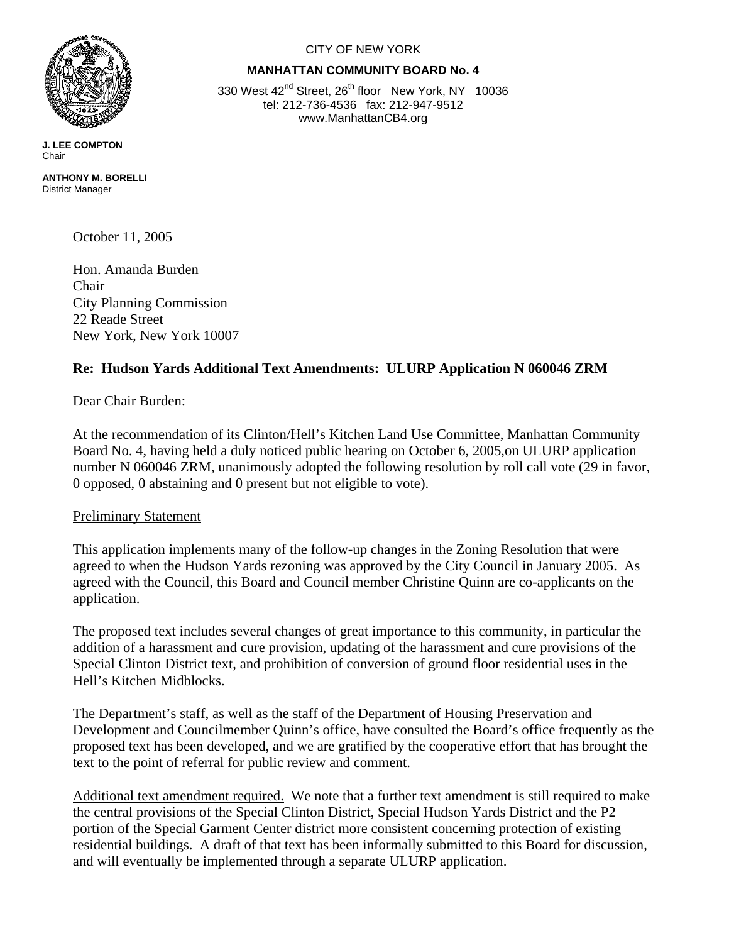

**J. LEE COMPTON**  Chair

**ANTHONY M. BORELLI**  District Manager

October 11, 2005

Hon. Amanda Burden Chair City Planning Commission 22 Reade Street New York, New York 10007

## **Re: Hudson Yards Additional Text Amendments: ULURP Application N 060046 ZRM**

Dear Chair Burden:

At the recommendation of its Clinton/Hell's Kitchen Land Use Committee, Manhattan Community Board No. 4, having held a duly noticed public hearing on October 6, 2005,on ULURP application number N 060046 ZRM, unanimously adopted the following resolution by roll call vote (29 in favor, 0 opposed, 0 abstaining and 0 present but not eligible to vote).

## Preliminary Statement

This application implements many of the follow-up changes in the Zoning Resolution that were agreed to when the Hudson Yards rezoning was approved by the City Council in January 2005. As agreed with the Council, this Board and Council member Christine Quinn are co-applicants on the application.

The proposed text includes several changes of great importance to this community, in particular the addition of a harassment and cure provision, updating of the harassment and cure provisions of the Special Clinton District text, and prohibition of conversion of ground floor residential uses in the Hell's Kitchen Midblocks.

The Department's staff, as well as the staff of the Department of Housing Preservation and Development and Councilmember Quinn's office, have consulted the Board's office frequently as the proposed text has been developed, and we are gratified by the cooperative effort that has brought the text to the point of referral for public review and comment.

Additional text amendment required. We note that a further text amendment is still required to make the central provisions of the Special Clinton District, Special Hudson Yards District and the P2 portion of the Special Garment Center district more consistent concerning protection of existing residential buildings. A draft of that text has been informally submitted to this Board for discussion, and will eventually be implemented through a separate ULURP application.

## CITY OF NEW YORK

## **MANHATTAN COMMUNITY BOARD No. 4**

330 West 42<sup>nd</sup> Street, 26<sup>th</sup> floor New York, NY 10036 tel: 212-736-4536 fax: 212-947-9512 www.ManhattanCB4.org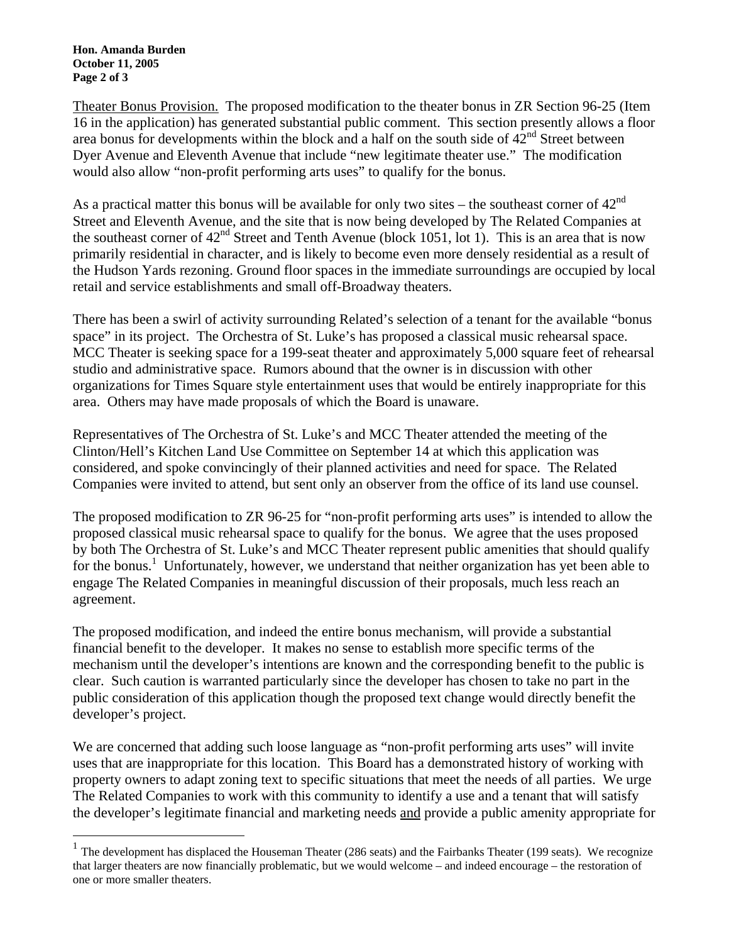**Hon. Amanda Burden October 11, 2005 Page 2 of 3** 

 $\overline{a}$ 

Theater Bonus Provision. The proposed modification to the theater bonus in ZR Section 96-25 (Item 16 in the application) has generated substantial public comment. This section presently allows a floor area bonus for developments within the block and a half on the south side of  $42<sup>nd</sup>$  Street between Dyer Avenue and Eleventh Avenue that include "new legitimate theater use." The modification would also allow "non-profit performing arts uses" to qualify for the bonus.

As a practical matter this bonus will be available for only two sites – the southeast corner of  $42<sup>nd</sup>$ Street and Eleventh Avenue, and the site that is now being developed by The Related Companies at the southeast corner of  $42<sup>nd</sup>$  Street and Tenth Avenue (block 1051, lot 1). This is an area that is now primarily residential in character, and is likely to become even more densely residential as a result of the Hudson Yards rezoning. Ground floor spaces in the immediate surroundings are occupied by local retail and service establishments and small off-Broadway theaters.

There has been a swirl of activity surrounding Related's selection of a tenant for the available "bonus space" in its project. The Orchestra of St. Luke's has proposed a classical music rehearsal space. MCC Theater is seeking space for a 199-seat theater and approximately 5,000 square feet of rehearsal studio and administrative space. Rumors abound that the owner is in discussion with other organizations for Times Square style entertainment uses that would be entirely inappropriate for this area. Others may have made proposals of which the Board is unaware.

Representatives of The Orchestra of St. Luke's and MCC Theater attended the meeting of the Clinton/Hell's Kitchen Land Use Committee on September 14 at which this application was considered, and spoke convincingly of their planned activities and need for space. The Related Companies were invited to attend, but sent only an observer from the office of its land use counsel.

The proposed modification to ZR 96-25 for "non-profit performing arts uses" is intended to allow the proposed classical music rehearsal space to qualify for the bonus. We agree that the uses proposed by both The Orchestra of St. Luke's and MCC Theater represent public amenities that should qualify for the bonus.<sup>1</sup> Unfortunately, however, we understand that neither organization has yet been able to engage The Related Companies in meaningful discussion of their proposals, much less reach an agreement.

The proposed modification, and indeed the entire bonus mechanism, will provide a substantial financial benefit to the developer. It makes no sense to establish more specific terms of the mechanism until the developer's intentions are known and the corresponding benefit to the public is clear. Such caution is warranted particularly since the developer has chosen to take no part in the public consideration of this application though the proposed text change would directly benefit the developer's project.

We are concerned that adding such loose language as "non-profit performing arts uses" will invite uses that are inappropriate for this location. This Board has a demonstrated history of working with property owners to adapt zoning text to specific situations that meet the needs of all parties. We urge The Related Companies to work with this community to identify a use and a tenant that will satisfy the developer's legitimate financial and marketing needs and provide a public amenity appropriate for

 $1$  The development has displaced the Houseman Theater (286 seats) and the Fairbanks Theater (199 seats). We recognize that larger theaters are now financially problematic, but we would welcome – and indeed encourage – the restoration of one or more smaller theaters.